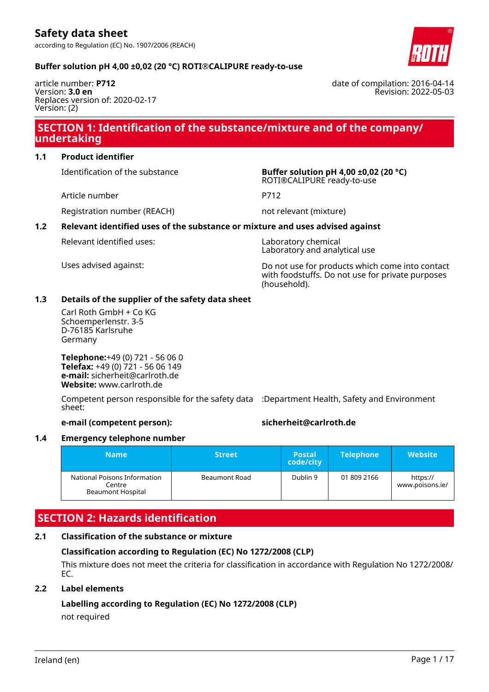article number: **P712** Version: **3.0 en** Replaces version of: 2020-02-17 Version: (2)

## Revision: 2022-05-03

date of compilation: 2016-04-14

## **SECTION 1: Identification of the substance/mixture and of the company/ undertaking**

#### **1.1 Product identifier**

Article number P712

Identification of the substance **Buffer solution pH 4,00 ±0,02 (20 °C)** ROTI®CALIPURE ready-to-use

Registration number (REACH) not relevant (mixture)

#### **1.2 Relevant identified uses of the substance or mixture and uses advised against**

Relevant identified uses: Laboratory chemical

Laboratory and analytical use

Uses advised against: Do not use for products which come into contact with foodstuffs. Do not use for private purposes (household).

#### **1.3 Details of the supplier of the safety data sheet**

Carl Roth GmbH + Co KG Schoemperlenstr. 3-5 D-76185 Karlsruhe Germany

**Telephone:**+49 (0) 721 - 56 06 0 **Telefax:** +49 (0) 721 - 56 06 149 **e-mail:** sicherheit@carlroth.de **Website:** www.carlroth.de

Competent person responsible for the safety data :Department Health, Safety and Environment sheet:

#### **e-mail (competent person): sicherheit@carlroth.de**

#### **1.4 Emergency telephone number**

| <b>Name</b>                                                        | <b>Street</b> | <b>Postal</b><br>code/city | <b>Telephone</b> | <b>Website</b>              |
|--------------------------------------------------------------------|---------------|----------------------------|------------------|-----------------------------|
| National Poisons Information<br>Centre<br><b>Beaumont Hospital</b> | Beaumont Road | Dublin 9                   | 01 809 2166      | https://<br>www.poisons.ie/ |

## **SECTION 2: Hazards identification**

#### **2.1 Classification of the substance or mixture**

#### **Classification according to Regulation (EC) No 1272/2008 (CLP)**

This mixture does not meet the criteria for classification in accordance with Regulation No 1272/2008/ EC.

#### **2.2 Label elements**

#### **Labelling according to Regulation (EC) No 1272/2008 (CLP)**

not required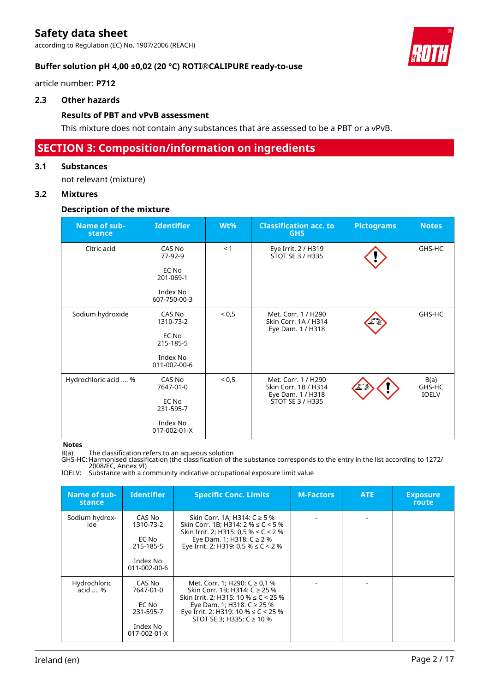according to Regulation (EC) No. 1907/2006 (REACH)



#### **Buffer solution pH 4,00 ±0,02 (20 °C) ROTI®CALIPURE ready-to-use**

article number: **P712**

#### **2.3 Other hazards**

#### **Results of PBT and vPvB assessment**

This mixture does not contain any substances that are assessed to be a PBT or a vPvB.

## **SECTION 3: Composition/information on ingredients**

#### **3.1 Substances**

not relevant (mixture)

#### **3.2 Mixtures**

#### **Description of the mixture**

| Name of sub-<br>stance | <b>Identifier</b>        | Wt%      | <b>Classification acc. to</b><br><b>GHS</b>                      | <b>Pictograms</b> | <b>Notes</b>                   |
|------------------------|--------------------------|----------|------------------------------------------------------------------|-------------------|--------------------------------|
| Citric acid            | CAS No<br>77-92-9        | < 1      | Eye Irrit. 2 / H319<br>STOT SE 3 / H335                          |                   | GHS-HC                         |
|                        | EC No<br>201-069-1       |          |                                                                  |                   |                                |
|                        | Index No<br>607-750-00-3 |          |                                                                  |                   |                                |
| Sodium hydroxide       | CAS No<br>1310-73-2      | < 0.5    | Met. Corr. 1 / H290<br>Skin Corr. 1A / H314<br>Eye Dam. 1 / H318 |                   | GHS-HC                         |
|                        | EC No<br>215-185-5       |          |                                                                  |                   |                                |
|                        | Index No<br>011-002-00-6 |          |                                                                  |                   |                                |
| Hydrochloric acid  %   | CAS No<br>7647-01-0      | ${}^{5}$ | Met. Corr. 1 / H290<br>Skin Corr. 1B / H314<br>Eye Dam. 1 / H318 |                   | B(a)<br>GHS-HC<br><b>IOELV</b> |
|                        | EC No<br>231-595-7       |          | <b>STOT SE 3 / H335</b>                                          |                   |                                |
|                        | Index No<br>017-002-01-X |          |                                                                  |                   |                                |

#### **Notes**

B(a): The classification refers to an aqueous solution

GHS-HC: Harmonised classification (the classification of the substance corresponds to the entry in the list according to 1272/ 2008/EC, Annex VI)

IOELV: Substance with a community indicative occupational exposure limit value

| Name of sub-<br>stance  | <b>Identifier</b>                                                     | <b>Specific Conc. Limits</b>                                                                                                                                                                                                 | <b>M-Factors</b> | <b>ATE</b> | <b>Exposure</b><br>route |
|-------------------------|-----------------------------------------------------------------------|------------------------------------------------------------------------------------------------------------------------------------------------------------------------------------------------------------------------------|------------------|------------|--------------------------|
| Sodium hydrox-<br>ide   | CAS No<br>1310-73-2<br>EC No<br>215-185-5<br>Index No<br>011-002-00-6 | Skin Corr. 1A; H314: C ≥ 5 %<br>Skin Corr. 1B: H314: $2\% \le C \le 5\%$<br>Skin Irrit. 2; H315: 0,5 % $\leq$ C < 2 %<br>Eye Dam. 1; H318: $C \ge 2$ %<br>Eye Irrit. 2; H319: 0.5 % $\leq C$ < 2 %                           |                  |            |                          |
| Hydrochloric<br>acid  % | CAS No<br>7647-01-0<br>EC No<br>231-595-7<br>Index No<br>017-002-01-X | Met. Corr. 1; H290: $C \ge 0.1$ %<br>Skin Corr. 1B; H314: C ≥ 25 %<br>Skin Irrit. 2; H315: 10 % $\leq C$ < 25 %<br>Eye Dam. 1; H318: $C$ ≥ 25 %<br>Eye Irrit. 2; H319: 10 % $\leq$ C < 25 %<br>STOT SE 3; H335: $C \ge 10$ % |                  |            |                          |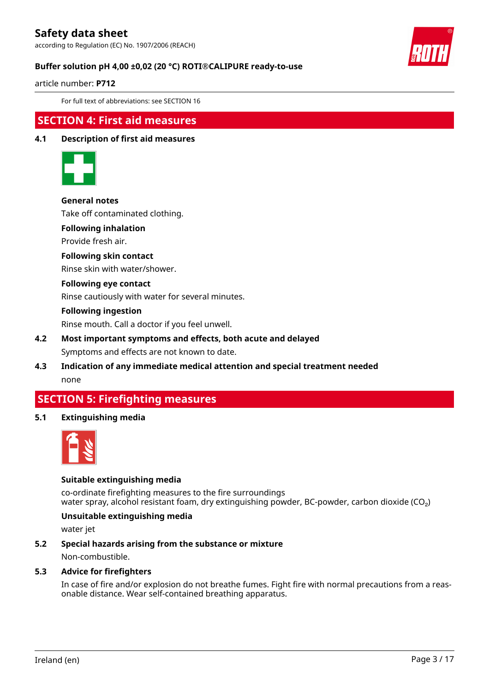according to Regulation (EC) No. 1907/2006 (REACH)



#### **Buffer solution pH 4,00 ±0,02 (20 °C) ROTI®CALIPURE ready-to-use**

article number: **P712**

For full text of abbreviations: see SECTION 16

### **SECTION 4: First aid measures**

### **4.1 Description of first aid measures**



#### **General notes**

Take off contaminated clothing.

**Following inhalation**

Provide fresh air.

#### **Following skin contact**

Rinse skin with water/shower.

#### **Following eye contact**

Rinse cautiously with water for several minutes.

#### **Following ingestion**

Rinse mouth. Call a doctor if you feel unwell.

#### **4.2 Most important symptoms and effects, both acute and delayed** Symptoms and effects are not known to date.

**4.3 Indication of any immediate medical attention and special treatment needed** none

## **SECTION 5: Firefighting measures**

**5.1 Extinguishing media**



#### **Suitable extinguishing media**

co-ordinate firefighting measures to the fire surroundings water spray, alcohol resistant foam, dry extinguishing powder, BC-powder, carbon dioxide (CO<sub>2</sub>)

#### **Unsuitable extinguishing media**

water jet

#### **5.2 Special hazards arising from the substance or mixture**

Non-combustible.

#### **5.3 Advice for firefighters**

In case of fire and/or explosion do not breathe fumes. Fight fire with normal precautions from a reasonable distance. Wear self-contained breathing apparatus.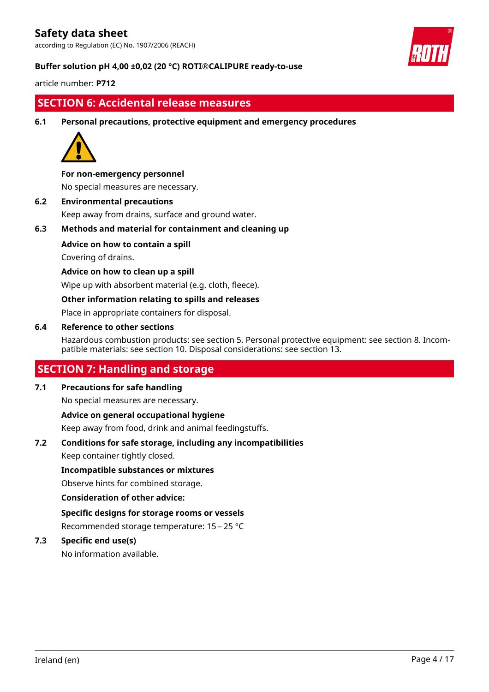according to Regulation (EC) No. 1907/2006 (REACH)



#### **Buffer solution pH 4,00 ±0,02 (20 °C) ROTI®CALIPURE ready-to-use**

article number: **P712**

## **SECTION 6: Accidental release measures**

**6.1 Personal precautions, protective equipment and emergency procedures**



#### **For non-emergency personnel**

No special measures are necessary.

**6.2 Environmental precautions** Keep away from drains, surface and ground water.

**6.3 Methods and material for containment and cleaning up**

#### **Advice on how to contain a spill**

Covering of drains.

#### **Advice on how to clean up a spill**

Wipe up with absorbent material (e.g. cloth, fleece).

#### **Other information relating to spills and releases**

Place in appropriate containers for disposal.

#### **6.4 Reference to other sections**

Hazardous combustion products: see section 5. Personal protective equipment: see section 8. Incompatible materials: see section 10. Disposal considerations: see section 13.

## **SECTION 7: Handling and storage**

#### **7.1 Precautions for safe handling**

No special measures are necessary.

#### **Advice on general occupational hygiene**

Keep away from food, drink and animal feedingstuffs.

#### **7.2 Conditions for safe storage, including any incompatibilities**

Keep container tightly closed.

#### **Incompatible substances or mixtures**

Observe hints for combined storage.

#### **Consideration of other advice:**

**Specific designs for storage rooms or vessels** Recommended storage temperature: 15 – 25 °C

#### **7.3 Specific end use(s)**

No information available.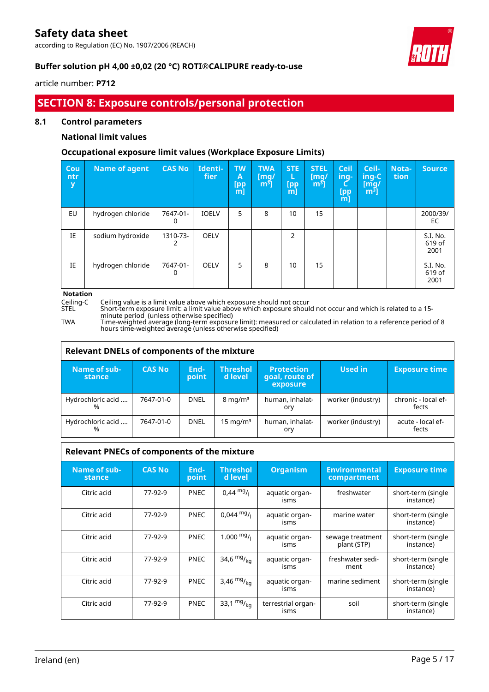according to Regulation (EC) No. 1907/2006 (REACH)



٦

#### **Buffer solution pH 4,00 ±0,02 (20 °C) ROTI®CALIPURE ready-to-use**

#### article number: **P712**

## **SECTION 8: Exposure controls/personal protection**

#### **8.1 Control parameters**

#### **National limit values**

#### **Occupational exposure limit values (Workplace Exposure Limits)**

| Cou<br>ntr<br>y | Name of agent     | <b>CAS No</b> | Identi-<br>fier | <b>TW</b><br>A<br>[pp]<br>[m] | <b>TWA</b><br>$\lceil \mathsf{mq} \rceil$<br>$m3$ ] | <b>STE</b><br>L<br>[pp<br>$m$ ] | <b>STEL</b><br>[mq/<br>m <sup>3</sup> | <b>Ceil</b><br>ing-<br>[pp<br>m] | Ceil-<br>$ $ ing-C $ $<br>[mq/<br>m <sup>3</sup> | Nota-<br>tion | Source                     |
|-----------------|-------------------|---------------|-----------------|-------------------------------|-----------------------------------------------------|---------------------------------|---------------------------------------|----------------------------------|--------------------------------------------------|---------------|----------------------------|
| EU              | hydrogen chloride | 7647-01-<br>0 | <b>IOELV</b>    | 5                             | 8                                                   | 10                              | 15                                    |                                  |                                                  |               | 2000/39/<br>EC             |
| IE              | sodium hydroxide  | 1310-73-      | <b>OELV</b>     |                               |                                                     | 2                               |                                       |                                  |                                                  |               | S.I. No.<br>619 of<br>2001 |
| IE              | hydrogen chloride | 7647-01-<br>0 | <b>OELV</b>     | 5                             | 8                                                   | 10                              | 15                                    |                                  |                                                  |               | S.I. No.<br>619 of<br>2001 |

# **Notation**<br>Ceiling-C<br>STEL

Ceiling-C Ceiling value is a limit value above which exposure should not occur

STEL Short-term exposure limit: a limit value above which exposure should not occur and which is related to a 15 minute period (unless otherwise specified)

Г

TWA Time-weighted average (long-term exposure limit): measured or calculated in relation to a reference period of 8 hours time-weighted average (unless otherwise specified)

| Relevant DNELs of components of the mixture |               |               |                            |                                                 |                   |                              |  |  |  |  |
|---------------------------------------------|---------------|---------------|----------------------------|-------------------------------------------------|-------------------|------------------------------|--|--|--|--|
| Name of sub-<br>stance                      | <b>CAS No</b> | End-<br>point | <b>Threshol</b><br>d level | <b>Protection</b><br>goal, route of<br>exposure | Used in           | <b>Exposure time</b>         |  |  |  |  |
| Hydrochloric acid<br>%                      | 7647-01-0     | <b>DNEL</b>   | $8 \text{ mg/m}^3$         | human, inhalat-<br>orv                          | worker (industry) | chronic - local ef-<br>fects |  |  |  |  |
| Hydrochloric acid<br>%                      | 7647-01-0     | <b>DNEL</b>   | $15 \text{ mg/m}^3$        | human, inhalat-<br>ory                          | worker (industry) | acute - local ef-<br>fects   |  |  |  |  |

| <b>Relevant PNECs of components of the mixture</b> |               |               |                             |                            |                                     |                                 |  |  |  |
|----------------------------------------------------|---------------|---------------|-----------------------------|----------------------------|-------------------------------------|---------------------------------|--|--|--|
| Name of sub-<br>stance                             | <b>CAS No</b> | End-<br>point | <b>Threshol</b><br>d level. | <b>Organism</b>            | <b>Environmental</b><br>compartment | <b>Exposure time</b>            |  |  |  |
| Citric acid                                        | 77-92-9       | <b>PNEC</b>   | $0.44 \text{ mg}$ /         | aquatic organ-<br>isms     | freshwater                          | short-term (single<br>instance) |  |  |  |
| Citric acid                                        | 77-92-9       | <b>PNEC</b>   | $0.044 \text{ mg}$ /        | aquatic organ-<br>isms     | marine water                        | short-term (single<br>instance) |  |  |  |
| Citric acid                                        | 77-92-9       | <b>PNEC</b>   | 1.000 $mg/1$                | aquatic organ-<br>isms     | sewage treatment<br>plant (STP)     | short-term (single<br>instance) |  |  |  |
| Citric acid                                        | 77-92-9       | <b>PNEC</b>   | 34,6 $mg/_{ka}$             | aquatic organ-<br>isms     | freshwater sedi-<br>ment            | short-term (single<br>instance) |  |  |  |
| Citric acid                                        | 77-92-9       | <b>PNEC</b>   | 3,46 $mg/kq$                | aquatic organ-<br>isms     | marine sediment                     | short-term (single<br>instance) |  |  |  |
| Citric acid                                        | 77-92-9       | <b>PNEC</b>   | 33,1 $mg/_{ka}$             | terrestrial organ-<br>isms | soil                                | short-term (single<br>instance) |  |  |  |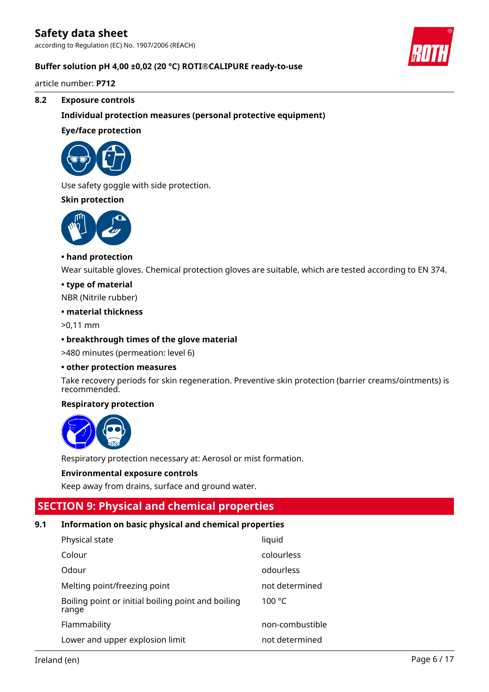according to Regulation (EC) No. 1907/2006 (REACH)

#### **Buffer solution pH 4,00 ±0,02 (20 °C) ROTI®CALIPURE ready-to-use**

article number: **P712**

#### **8.2 Exposure controls**

**Individual protection measures (personal protective equipment)**

#### **Eye/face protection**



Use safety goggle with side protection.

#### **Skin protection**



#### **• hand protection**

Wear suitable gloves. Chemical protection gloves are suitable, which are tested according to EN 374.

#### **• type of material**

NBR (Nitrile rubber)

#### **• material thickness**

>0,11 mm

#### **• breakthrough times of the glove material**

>480 minutes (permeation: level 6)

#### **• other protection measures**

Take recovery periods for skin regeneration. Preventive skin protection (barrier creams/ointments) is recommended.

#### **Respiratory protection**



Respiratory protection necessary at: Aerosol or mist formation.

#### **Environmental exposure controls**

Keep away from drains, surface and ground water.

## **SECTION 9: Physical and chemical properties**

#### **9.1 Information on basic physical and chemical properties**

| Physical state                                              | liquid          |
|-------------------------------------------------------------|-----------------|
| Colour                                                      | colourless      |
| Odour                                                       | odourless       |
| Melting point/freezing point                                | not determined  |
| Boiling point or initial boiling point and boiling<br>range | 100 $\degree$ C |
| Flammability                                                | non-combustible |
| Lower and upper explosion limit                             | not determined  |

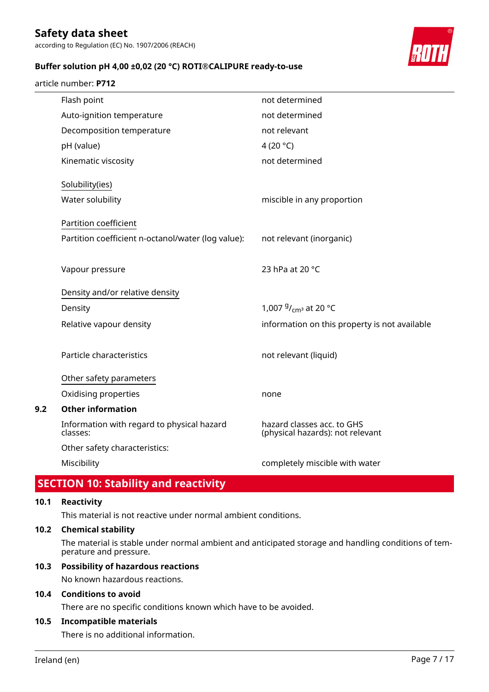according to Regulation (EC) No. 1907/2006 (REACH)

#### **Buffer solution pH 4,00 ±0,02 (20 °C) ROTI®CALIPURE ready-to-use**

#### article number: **P712**



| Flash point                                            | not determined                                                 |
|--------------------------------------------------------|----------------------------------------------------------------|
| Auto-ignition temperature                              | not determined                                                 |
| Decomposition temperature                              | not relevant                                                   |
| pH (value)                                             | 4 (20 $^{\circ}$ C)                                            |
| Kinematic viscosity                                    | not determined                                                 |
| Solubility(ies)                                        |                                                                |
| Water solubility                                       | miscible in any proportion                                     |
| Partition coefficient                                  |                                                                |
| Partition coefficient n-octanol/water (log value):     | not relevant (inorganic)                                       |
|                                                        |                                                                |
| Vapour pressure                                        | 23 hPa at 20 °C                                                |
| Density and/or relative density                        |                                                                |
| Density                                                | 1,007 <sup>g</sup> / <sub>cm<sup>3</sup></sub> at 20 °C        |
| Relative vapour density                                | information on this property is not available                  |
|                                                        |                                                                |
| Particle characteristics                               | not relevant (liquid)                                          |
| Other safety parameters                                |                                                                |
| Oxidising properties                                   | none                                                           |
| <b>Other information</b>                               |                                                                |
| Information with regard to physical hazard<br>classes: | hazard classes acc. to GHS<br>(physical hazards): not relevant |
| Other safety characteristics:                          |                                                                |
| Miscibility                                            | completely miscible with water                                 |

## **SECTION 10: Stability and reactivity**

#### **10.1 Reactivity**

**9.2** 

This material is not reactive under normal ambient conditions.

#### **10.2 Chemical stability**

The material is stable under normal ambient and anticipated storage and handling conditions of temperature and pressure.

#### **10.3 Possibility of hazardous reactions**

No known hazardous reactions.

#### **10.4 Conditions to avoid**

There are no specific conditions known which have to be avoided.

#### **10.5 Incompatible materials**

There is no additional information.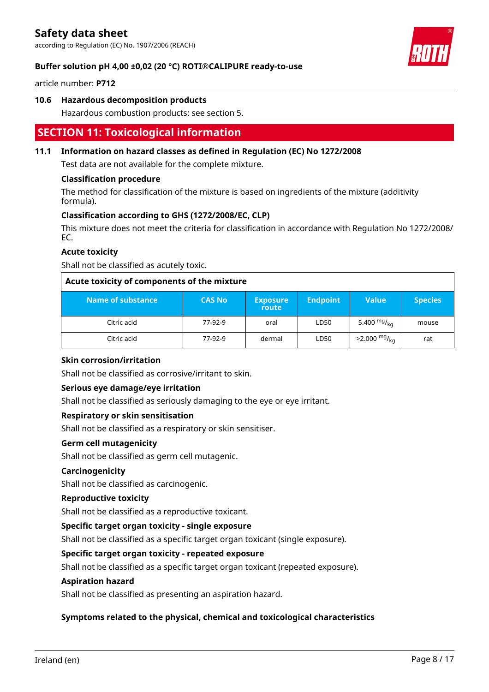according to Regulation (EC) No. 1907/2006 (REACH)



#### **Buffer solution pH 4,00 ±0,02 (20 °C) ROTI®CALIPURE ready-to-use**

article number: **P712**

#### **10.6 Hazardous decomposition products**

Hazardous combustion products: see section 5.

## **SECTION 11: Toxicological information**

#### **11.1 Information on hazard classes as defined in Regulation (EC) No 1272/2008**

Test data are not available for the complete mixture.

#### **Classification procedure**

The method for classification of the mixture is based on ingredients of the mixture (additivity formula).

#### **Classification according to GHS (1272/2008/EC, CLP)**

This mixture does not meet the criteria for classification in accordance with Regulation No 1272/2008/ EC.

#### **Acute toxicity**

Shall not be classified as acutely toxic.

| Acute toxicity of components of the mixture |               |                          |                 |                        |                |  |  |  |
|---------------------------------------------|---------------|--------------------------|-----------------|------------------------|----------------|--|--|--|
| Name of substance                           | <b>CAS No</b> | <b>Exposure</b><br>route | <b>Endpoint</b> | <b>Value</b>           | <b>Species</b> |  |  |  |
| Citric acid                                 | 77-92-9       | oral                     | LD50            | 5.400 $mg/kq$          | mouse          |  |  |  |
| Citric acid                                 | 77-92-9       | dermal                   | LD50            | $>2.000 \frac{mg}{ka}$ | rat            |  |  |  |

#### **Skin corrosion/irritation**

Shall not be classified as corrosive/irritant to skin.

#### **Serious eye damage/eye irritation**

Shall not be classified as seriously damaging to the eye or eye irritant.

#### **Respiratory or skin sensitisation**

Shall not be classified as a respiratory or skin sensitiser.

#### **Germ cell mutagenicity**

Shall not be classified as germ cell mutagenic.

#### **Carcinogenicity**

Shall not be classified as carcinogenic.

#### **Reproductive toxicity**

Shall not be classified as a reproductive toxicant.

#### **Specific target organ toxicity - single exposure**

Shall not be classified as a specific target organ toxicant (single exposure).

### **Specific target organ toxicity - repeated exposure**

Shall not be classified as a specific target organ toxicant (repeated exposure).

#### **Aspiration hazard**

Shall not be classified as presenting an aspiration hazard.

#### **Symptoms related to the physical, chemical and toxicological characteristics**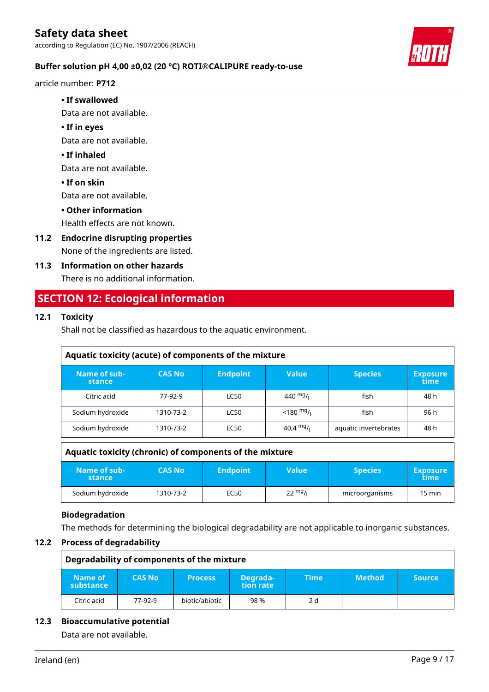article number: **P712**

#### **• If swallowed**

Data are not available.

#### **• If in eyes**

Data are not available.

#### **• If inhaled**

Data are not available.

**• If on skin**

Data are not available.

#### **• Other information**

Health effects are not known.

**11.2 Endocrine disrupting properties** None of the ingredients are listed.

#### **11.3 Information on other hazards**

There is no additional information.

## **SECTION 12: Ecological information**

#### **12.1 Toxicity**

Shall not be classified as hazardous to the aquatic environment.

| Aquatic toxicity (acute) of components of the mixture |               |                 |                                      |                       |                         |  |  |  |  |
|-------------------------------------------------------|---------------|-----------------|--------------------------------------|-----------------------|-------------------------|--|--|--|--|
| Name of sub-<br>stance                                | <b>CAS No</b> | <b>Endpoint</b> | <b>Value</b>                         | <b>Species</b>        | <b>Exposure</b><br>time |  |  |  |  |
| Citric acid                                           | 77-92-9       | <b>LC50</b>     | 440 $mg/1$                           | fish                  | 48 h                    |  |  |  |  |
| Sodium hydroxide                                      | 1310-73-2     | <b>LC50</b>     | $<$ 180 <sup>mg</sup> / <sub>l</sub> | fish                  | 96 h                    |  |  |  |  |
| Sodium hydroxide                                      | 1310-73-2     | EC50            | 40,4 $mg/$                           | aquatic invertebrates | 48 h                    |  |  |  |  |

| Aquatic toxicity (chronic) of components of the mixture |               |                 |                   |                |                           |  |  |  |
|---------------------------------------------------------|---------------|-----------------|-------------------|----------------|---------------------------|--|--|--|
| Name of sub-<br>stance                                  | <b>CAS No</b> | <b>Endpoint</b> | <b>Value</b>      | <b>Species</b> | <b>Exposure</b><br>\time\ |  |  |  |
| Sodium hydroxide                                        | 1310-73-2     | EC50            | $22 \frac{mg}{l}$ | microorganisms | $15 \text{ min}$          |  |  |  |

#### **Biodegradation**

The methods for determining the biological degradability are not applicable to inorganic substances.

#### **12.2 Process of degradability**

| Degradability of components of the mixture |               |                |                       |      |               |               |
|--------------------------------------------|---------------|----------------|-----------------------|------|---------------|---------------|
| Name of l<br>substance                     | <b>CAS No</b> | <b>Process</b> | Degrada-<br>tion rate | Time | <b>Method</b> | <b>Source</b> |
| Citric acid                                | 77-92-9       | biotic/abiotic | 98 %                  | 2 d  |               |               |

#### **12.3 Bioaccumulative potential**

Data are not available.

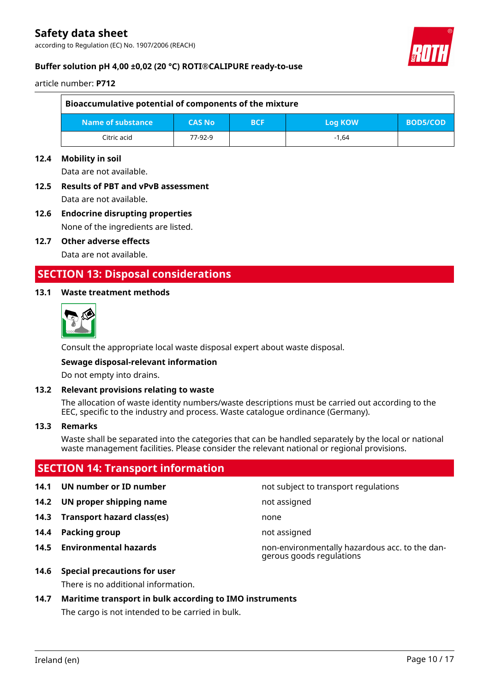according to Regulation (EC) No. 1907/2006 (REACH)



#### **Buffer solution pH 4,00 ±0,02 (20 °C) ROTI®CALIPURE ready-to-use**

article number: **P712**

| Bioaccumulative potential of components of the mixture                         |         |  |         |  |  |  |
|--------------------------------------------------------------------------------|---------|--|---------|--|--|--|
| Name of substance<br><b>CAS No</b><br><b>BOD5/COD</b><br><b>BCF</b><br>Log KOW |         |  |         |  |  |  |
| Citric acid                                                                    | 77-92-9 |  | $-1.64$ |  |  |  |

#### **12.4 Mobility in soil**

Data are not available.

## **12.5 Results of PBT and vPvB assessment**

Data are not available.

#### **12.6 Endocrine disrupting properties** None of the ingredients are listed.

**12.7 Other adverse effects**

Data are not available.

## **SECTION 13: Disposal considerations**

#### **13.1 Waste treatment methods**



Consult the appropriate local waste disposal expert about waste disposal.

#### **Sewage disposal-relevant information**

Do not empty into drains.

#### **13.2 Relevant provisions relating to waste**

The allocation of waste identity numbers/waste descriptions must be carried out according to the EEC, specific to the industry and process. Waste catalogue ordinance (Germany).

#### **13.3 Remarks**

Waste shall be separated into the categories that can be handled separately by the local or national waste management facilities. Please consider the relevant national or regional provisions.

## **SECTION 14: Transport information**

- 
- **14.2 UN proper shipping name** not assigned
- **14.3 Transport hazard class(es)** none
- **14.4 Packing group not assigned**
- 
- **14.6 Special precautions for user**

There is no additional information.

#### **14.7 Maritime transport in bulk according to IMO instruments**

The cargo is not intended to be carried in bulk.

**14.1 UN number or ID number not** subject to transport regulations

**14.5 Environmental hazards** non-environmentally hazardous acc. to the dangerous goods regulations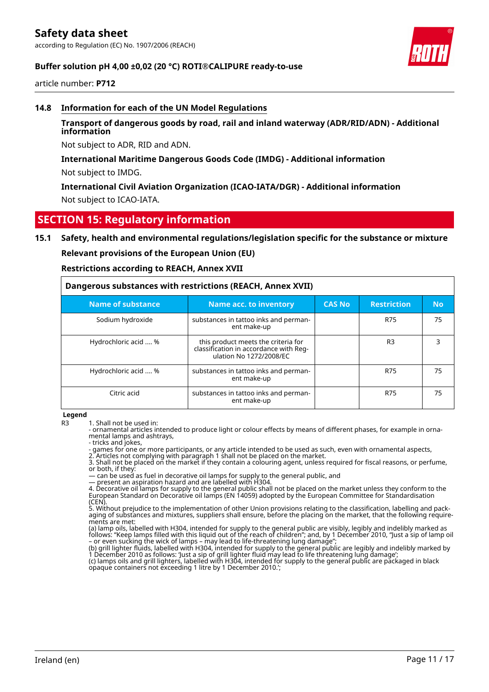article number: **P712**

#### **14.8 Information for each of the UN Model Regulations**

#### **Transport of dangerous goods by road, rail and inland waterway (ADR/RID/ADN) - Additional information**

Not subject to ADR, RID and ADN.

#### **International Maritime Dangerous Goods Code (IMDG) - Additional information**

Not subject to IMDG.

**International Civil Aviation Organization (ICAO-IATA/DGR) - Additional information** Not subject to ICAO-IATA.

## **SECTION 15: Regulatory information**

#### **15.1 Safety, health and environmental regulations/legislation specific for the substance or mixture**

**Relevant provisions of the European Union (EU)**

**Restrictions according to REACH, Annex XVII**

| Dangerous substances with restrictions (REACH, Annex XVII) |                                                                                                          |               |                    |           |  |
|------------------------------------------------------------|----------------------------------------------------------------------------------------------------------|---------------|--------------------|-----------|--|
| <b>Name of substance</b>                                   | Name acc. to inventory                                                                                   | <b>CAS No</b> | <b>Restriction</b> | <b>No</b> |  |
| Sodium hydroxide                                           | substances in tattoo inks and perman-<br>ent make-up                                                     |               | <b>R75</b>         | 75        |  |
| Hydrochloric acid  %                                       | this product meets the criteria for<br>classification in accordance with Reg-<br>ulation No 1272/2008/EC |               | R <sub>3</sub>     | 3         |  |
| Hydrochloric acid  %                                       | substances in tattoo inks and perman-<br>ent make-up                                                     |               | R75                | 75        |  |
| Citric acid                                                | substances in tattoo inks and perman-<br>ent make-up                                                     |               | <b>R75</b>         | 75        |  |

**Legend**

- ornamental articles intended to produce light or colour effects by means of different phases, for example in ornamental lamps and ashtrays,

- tricks and jokes,

- games for one or more participants, or any article intended to be used as such, even with ornamental aspects,

2. Articles not complying with paragraph 1 shall not be placed on the market. 3. Shall not be placed on the market if they contain a colouring agent, unless required for fiscal reasons, or perfume, or both, if they:

— can be used as fuel in decorative oil lamps for supply to the general public, and — present an aspiration hazard and are labelled with H304.

4. Decorative oil lamps for supply to the general public shall not be placed on the market unless they conform to the European Standard on Decorative oil lamps (EN 14059) adopted by the European Committee for Standardisation (CEN).

5. Without prejudice to the implementation of other Union provisions relating to the classification, labelling and packaging of substances and mixtures, suppliers shall ensure, before the placing on the market, that the following requirements are met:

(a) lamp oils, labelled with H304, intended for supply to the general public are visibly, legibly and indelibly marked as follows: "Keep lamps filled with this liquid out of the reach of children"; and, by 1 December 2010, "Just a sip of lamp oil – or even sucking the wick of lamps – may lead to life-threatening lung damage";

(b) grill lighter fluids, labelled with H304, intended for supply to the general public are legibly and indelibly marked by 1 December 2010 as follows: 'Just a sip of grill lighter fluid may lead to life threatening lung damage'; (c) lamps oils and grill lighters, labelled with H304, intended for supply to the general public are packaged in black

R3 1. Shall not be used in: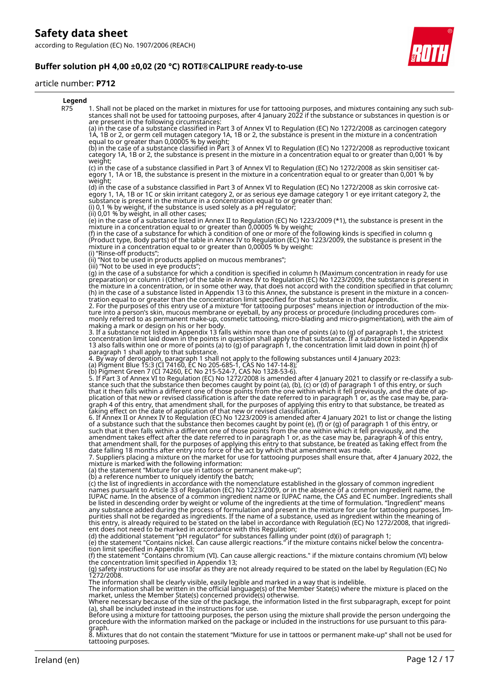#### article number: **P712**



8. Mixtures that do not contain the statement "Mixture for use in tattoos or permanent make-up" shall not be used for tattooing purposes.

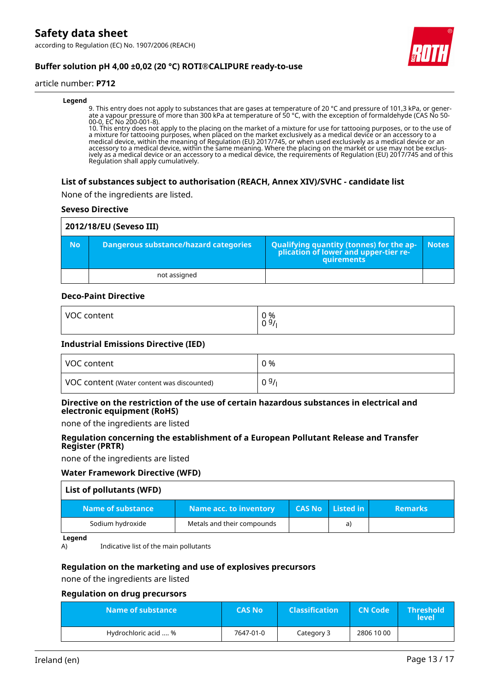according to Regulation (EC) No. 1907/2006 (REACH)



### **Buffer solution pH 4,00 ±0,02 (20 °C) ROTI®CALIPURE ready-to-use**

#### article number: **P712**

#### **Legend**

9. This entry does not apply to substances that are gases at temperature of 20 °C and pressure of 101,3 kPa, or generate a vapour pressure of more than 300 kPa at temperature of 50 °C, with the exception of formaldehyde (CAS No 50- 00-0, EC No 200-001-8).

10. This entry does not apply to the placing on the market of a mixture for use for tattooing purposes, or to the use of a mixture for tattooing purposes, when placed on the market exclusively as a medical device or an accessory to a medical device, within the meaning of Regulation (EU) 2017/745, or when used exclusively as a medical device or an accessory to a medical device, within the same meaning. Where the placing on the market or use may not be exclusively as a medical device or an accessory to a medical device, the requirements of Regulation (EU) 2017/745 and of this Regulation shall apply cumulatively.

#### **List of substances subject to authorisation (REACH, Annex XIV)/SVHC - candidate list**

None of the ingredients are listed.

#### **Seveso Directive**

| 2012/18/EU (Seveso III) |                                       |                                                                                            |              |  |  |  |
|-------------------------|---------------------------------------|--------------------------------------------------------------------------------------------|--------------|--|--|--|
| <b>No</b>               | Dangerous substance/hazard categories | Qualifying quantity (tonnes) for the application of lower and upper-tier re-<br>quirements | <b>Notes</b> |  |  |  |
|                         | not assigned                          |                                                                                            |              |  |  |  |

#### **Deco-Paint Directive**

| VOC     | 0 % |
|---------|-----|
| content | 09/ |
|         |     |

#### **Industrial Emissions Directive (IED)**

| VOC content                                | 0 %  |
|--------------------------------------------|------|
| VOC content (Water content was discounted) | 09/1 |

#### **Directive on the restriction of the use of certain hazardous substances in electrical and electronic equipment (RoHS)**

none of the ingredients are listed

#### **Regulation concerning the establishment of a European Pollutant Release and Transfer Register (PRTR)**

none of the ingredients are listed

#### **Water Framework Directive (WFD)**

| List of pollutants (WFD) |                               |               |           |                |
|--------------------------|-------------------------------|---------------|-----------|----------------|
| Name of substance        | <b>Name acc. to inventory</b> | <b>CAS No</b> | Listed in | <b>Remarks</b> |
| Sodium hydroxide         | Metals and their compounds    |               | a)        |                |

#### **Legend**

A) Indicative list of the main pollutants

#### **Regulation on the marketing and use of explosives precursors**

none of the ingredients are listed

#### **Regulation on drug precursors**

| Name of substance    | <b>CAS No</b> | <b>Classification</b> | <b>CN Code</b> | <b>Threshold</b><br><b>level</b> |
|----------------------|---------------|-----------------------|----------------|----------------------------------|
| Hydrochloric acid  % | 7647-01-0     | Category 3            | 2806 10 00     |                                  |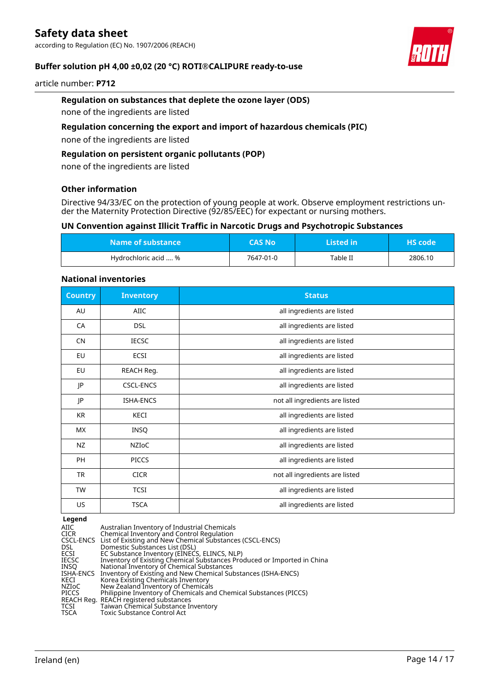according to Regulation (EC) No. 1907/2006 (REACH)



#### **Buffer solution pH 4,00 ±0,02 (20 °C) ROTI®CALIPURE ready-to-use**

#### article number: **P712**

#### **Regulation on substances that deplete the ozone layer (ODS)**

none of the ingredients are listed

#### **Regulation concerning the export and import of hazardous chemicals (PIC)**

none of the ingredients are listed

#### **Regulation on persistent organic pollutants (POP)**

none of the ingredients are listed

#### **Other information**

Directive 94/33/EC on the protection of young people at work. Observe employment restrictions under the Maternity Protection Directive (92/85/EEC) for expectant or nursing mothers.

#### **UN Convention against Illicit Traffic in Narcotic Drugs and Psychotropic Substances**

| Name of substance    | <b>CAS No</b> | Listed in | LHS code' |
|----------------------|---------------|-----------|-----------|
| Hydrochloric acid  % | 7647-01-0     | Table II  | 2806.10   |

#### **National inventories**

| <b>Country</b> | <b>Inventory</b> | <b>Status</b>                  |
|----------------|------------------|--------------------------------|
| AU             | <b>AIIC</b>      | all ingredients are listed     |
| CA             | <b>DSL</b>       | all ingredients are listed     |
| <b>CN</b>      | <b>IECSC</b>     | all ingredients are listed     |
| EU             | ECSI             | all ingredients are listed     |
| EU             | REACH Reg.       | all ingredients are listed     |
| JP             | <b>CSCL-ENCS</b> | all ingredients are listed     |
| JP             | <b>ISHA-ENCS</b> | not all ingredients are listed |
| KR             | KECI             | all ingredients are listed     |
| МX             | INSQ             | all ingredients are listed     |
| NZ             | NZIoC            | all ingredients are listed     |
| PH             | <b>PICCS</b>     | all ingredients are listed     |
| <b>TR</b>      | <b>CICR</b>      | not all ingredients are listed |
| <b>TW</b>      | <b>TCSI</b>      | all ingredients are listed     |
| US             | <b>TSCA</b>      | all ingredients are listed     |

#### **Legend**

| AIIC      | Australian Inventory of Industrial Chemicals                            |
|-----------|-------------------------------------------------------------------------|
| CICR      | Chemical Inventory and Control Regulation                               |
|           | CSCL-ENCS List of Existing and New Chemical Substances (CSCL-ENCS)      |
| DSL       | Domestic Substances List (DSL)                                          |
| ECSI      | EC Substance Inventory (EINECS, ELINCS, NLP)                            |
| IECSC     | Inventory of Existing Chemical Substances Produced or Imported in China |
| INSO      | National Inventory of Chemical Substances                               |
| ISHA-ENCS | Inventory of Existing and New Chemical Substances (ISHA-ENCS)           |
| KECI      | Korea Existing Chemicals Inventory                                      |
| NZIoC     | New Zealand Inventory of Chemicals                                      |
| PICCS     | Philippine Inventory of Chemicals and Chemical Substances (PICCS)       |
|           | REACH Reg.  REACH registered substances                                 |
| TCSI      | Taiwan Chemical Substance Inventory                                     |
| TSCA      | Toxic Substance Control Act                                             |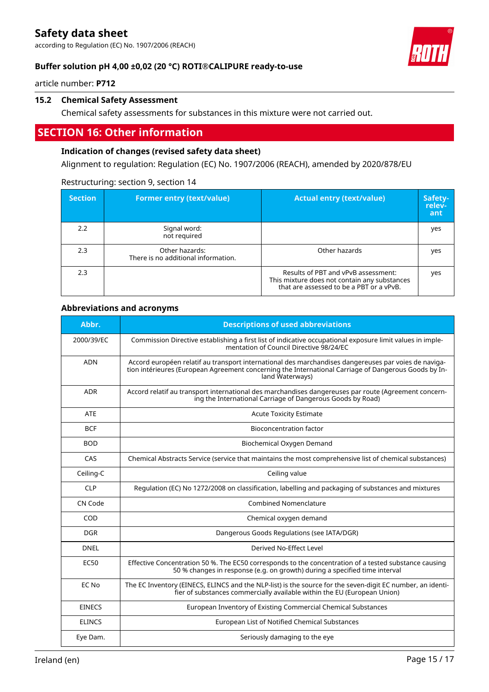according to Regulation (EC) No. 1907/2006 (REACH)



#### **Buffer solution pH 4,00 ±0,02 (20 °C) ROTI®CALIPURE ready-to-use**

article number: **P712**

#### **15.2 Chemical Safety Assessment**

Chemical safety assessments for substances in this mixture were not carried out.

## **SECTION 16: Other information**

#### **Indication of changes (revised safety data sheet)**

Alignment to regulation: Regulation (EC) No. 1907/2006 (REACH), amended by 2020/878/EU

| <b>Section</b> | <b>Former entry (text/value)</b>                      | <b>Actual entry (text/value)</b>                                                                                                | Safety-<br>relev-<br>ant |
|----------------|-------------------------------------------------------|---------------------------------------------------------------------------------------------------------------------------------|--------------------------|
| 2.2            | Signal word:<br>not required                          |                                                                                                                                 | yes                      |
| 2.3            | Other hazards:<br>There is no additional information. | Other hazards                                                                                                                   | yes                      |
| 2.3            |                                                       | Results of PBT and vPvB assessment:<br>This mixture does not contain any substances<br>that are assessed to be a PBT or a vPvB. | yes                      |

#### Restructuring: section 9, section 14

#### **Abbreviations and acronyms**

| Abbr.         | <b>Descriptions of used abbreviations</b>                                                                                                                                                                                       |
|---------------|---------------------------------------------------------------------------------------------------------------------------------------------------------------------------------------------------------------------------------|
| 2000/39/EC    | Commission Directive establishing a first list of indicative occupational exposure limit values in imple-<br>mentation of Council Directive 98/24/EC                                                                            |
| <b>ADN</b>    | Accord européen relatif au transport international des marchandises dangereuses par voies de naviga-<br>tion intérieures (European Agreement concerning the International Carriage of Dangerous Goods by In-<br>land Waterways) |
| <b>ADR</b>    | Accord relatif au transport international des marchandises dangereuses par route (Agreement concern-<br>ing the International Carriage of Dangerous Goods by Road)                                                              |
| ATE           | <b>Acute Toxicity Estimate</b>                                                                                                                                                                                                  |
| <b>BCF</b>    | <b>Bioconcentration factor</b>                                                                                                                                                                                                  |
| <b>BOD</b>    | Biochemical Oxygen Demand                                                                                                                                                                                                       |
| CAS           | Chemical Abstracts Service (service that maintains the most comprehensive list of chemical substances)                                                                                                                          |
| Ceiling-C     | Ceiling value                                                                                                                                                                                                                   |
| <b>CLP</b>    | Regulation (EC) No 1272/2008 on classification, labelling and packaging of substances and mixtures                                                                                                                              |
| CN Code       | <b>Combined Nomenclature</b>                                                                                                                                                                                                    |
| COD           | Chemical oxygen demand                                                                                                                                                                                                          |
| <b>DGR</b>    | Dangerous Goods Regulations (see IATA/DGR)                                                                                                                                                                                      |
| <b>DNEL</b>   | Derived No-Effect Level                                                                                                                                                                                                         |
| <b>EC50</b>   | Effective Concentration 50 %. The EC50 corresponds to the concentration of a tested substance causing<br>50 % changes in response (e.g. on growth) during a specified time interval                                             |
| EC No         | The EC Inventory (EINECS, ELINCS and the NLP-list) is the source for the seven-digit EC number, an identi-<br>fier of substances commercially available within the EU (European Union)                                          |
| <b>EINECS</b> | European Inventory of Existing Commercial Chemical Substances                                                                                                                                                                   |
| <b>ELINCS</b> | European List of Notified Chemical Substances                                                                                                                                                                                   |
| Eye Dam.      | Seriously damaging to the eye                                                                                                                                                                                                   |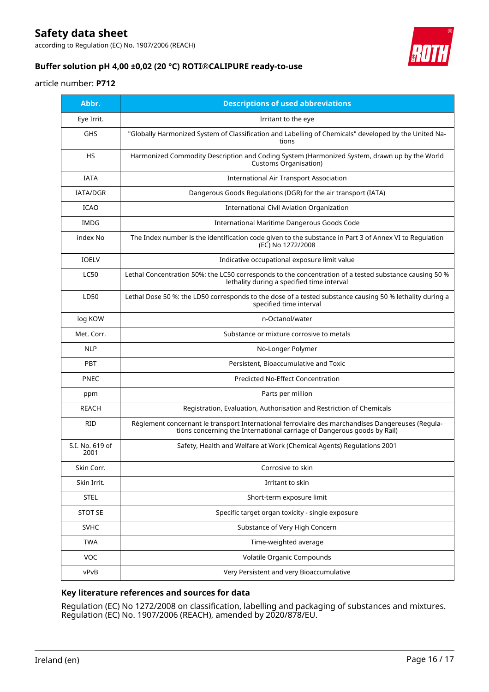according to Regulation (EC) No. 1907/2006 (REACH)



### **Buffer solution pH 4,00 ±0,02 (20 °C) ROTI®CALIPURE ready-to-use**

#### article number: **P712**

| Abbr.                   | <b>Descriptions of used abbreviations</b>                                                                                                                                    |
|-------------------------|------------------------------------------------------------------------------------------------------------------------------------------------------------------------------|
| Eye Irrit.              | Irritant to the eye                                                                                                                                                          |
| <b>GHS</b>              | "Globally Harmonized System of Classification and Labelling of Chemicals" developed by the United Na-<br>tions                                                               |
| <b>HS</b>               | Harmonized Commodity Description and Coding System (Harmonized System, drawn up by the World<br><b>Customs Organisation)</b>                                                 |
| <b>IATA</b>             | <b>International Air Transport Association</b>                                                                                                                               |
| IATA/DGR                | Dangerous Goods Regulations (DGR) for the air transport (IATA)                                                                                                               |
| <b>ICAO</b>             | International Civil Aviation Organization                                                                                                                                    |
| <b>IMDG</b>             | International Maritime Dangerous Goods Code                                                                                                                                  |
| index No                | The Index number is the identification code given to the substance in Part 3 of Annex VI to Regulation<br>(EC) No 1272/2008                                                  |
| <b>IOELV</b>            | Indicative occupational exposure limit value                                                                                                                                 |
| <b>LC50</b>             | Lethal Concentration 50%: the LC50 corresponds to the concentration of a tested substance causing 50 %<br>lethality during a specified time interval                         |
| LD50                    | Lethal Dose 50 %: the LD50 corresponds to the dose of a tested substance causing 50 % lethality during a<br>specified time interval                                          |
| log KOW                 | n-Octanol/water                                                                                                                                                              |
| Met. Corr.              | Substance or mixture corrosive to metals                                                                                                                                     |
| <b>NLP</b>              | No-Longer Polymer                                                                                                                                                            |
| PBT                     | Persistent, Bioaccumulative and Toxic                                                                                                                                        |
| <b>PNEC</b>             | <b>Predicted No-Effect Concentration</b>                                                                                                                                     |
| ppm                     | Parts per million                                                                                                                                                            |
| <b>REACH</b>            | Registration, Evaluation, Authorisation and Restriction of Chemicals                                                                                                         |
| <b>RID</b>              | Règlement concernant le transport International ferroviaire des marchandises Dangereuses (Regula-<br>tions concerning the International carriage of Dangerous goods by Rail) |
| S.I. No. 619 of<br>2001 | Safety, Health and Welfare at Work (Chemical Agents) Regulations 2001                                                                                                        |
| Skin Corr.              | Corrosive to skin                                                                                                                                                            |
| Skin Irrit.             | Irritant to skin                                                                                                                                                             |
| <b>STEL</b>             | Short-term exposure limit                                                                                                                                                    |
| <b>STOT SE</b>          | Specific target organ toxicity - single exposure                                                                                                                             |
| <b>SVHC</b>             | Substance of Very High Concern                                                                                                                                               |
| <b>TWA</b>              | Time-weighted average                                                                                                                                                        |
| VOC                     | Volatile Organic Compounds                                                                                                                                                   |
| vPvB                    | Very Persistent and very Bioaccumulative                                                                                                                                     |

#### **Key literature references and sources for data**

Regulation (EC) No 1272/2008 on classification, labelling and packaging of substances and mixtures. Regulation (EC) No. 1907/2006 (REACH), amended by 2020/878/EU.